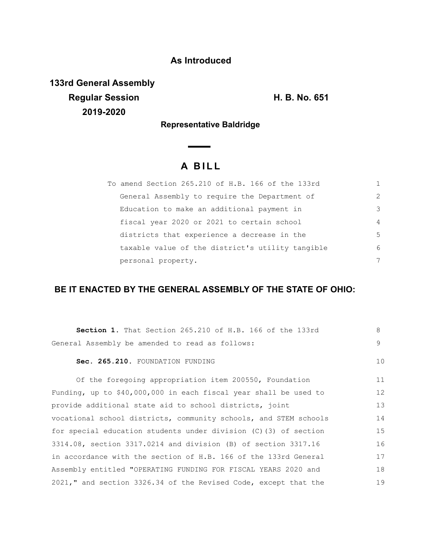### **As Introduced**

**133rd General Assembly Regular Session H. B. No. 651 2019-2020**

**Representative Baldridge**

 $\overline{\phantom{0}}$ 

# **A B I L L**

| To amend Section 265.210 of H.B. 166 of the 133rd |                |
|---------------------------------------------------|----------------|
| General Assembly to require the Department of     | $\mathcal{L}$  |
| Education to make an additional payment in        | 3              |
| fiscal year 2020 or 2021 to certain school        | $\overline{4}$ |
| districts that experience a decrease in the       | 5              |
| taxable value of the district's utility tangible  | 6              |
| personal property.                                | 7              |

## **BE IT ENACTED BY THE GENERAL ASSEMBLY OF THE STATE OF OHIO:**

| Section 1. That Section 265.210 of H.B. 166 of the 133rd         | 8  |
|------------------------------------------------------------------|----|
| General Assembly be amended to read as follows:                  | 9  |
| Sec. 265.210. FOUNDATION FUNDING                                 | 10 |
| Of the foregoing appropriation item 200550, Foundation           | 11 |
| Funding, up to \$40,000,000 in each fiscal year shall be used to | 12 |
| provide additional state aid to school districts, joint          | 13 |
| vocational school districts, community schools, and STEM schools | 14 |
| for special education students under division (C) (3) of section | 15 |
| 3314.08, section 3317.0214 and division (B) of section 3317.16   | 16 |
| in accordance with the section of H.B. 166 of the 133rd General  | 17 |
| Assembly entitled "OPERATING FUNDING FOR FISCAL YEARS 2020 and   | 18 |
| 2021," and section 3326.34 of the Revised Code, except that the  | 19 |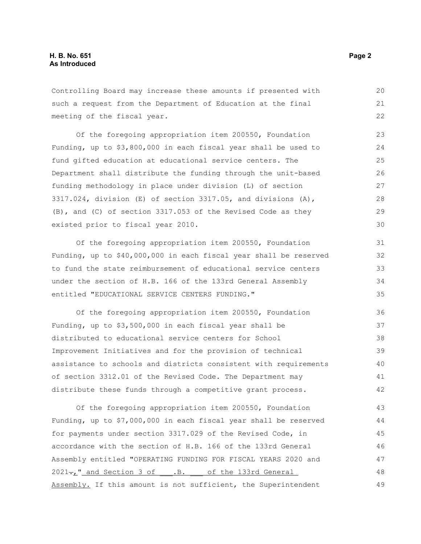Controlling Board may increase these amounts if presented with such a request from the Department of Education at the final meeting of the fiscal year.

Of the foregoing appropriation item 200550, Foundation Funding, up to \$3,800,000 in each fiscal year shall be used to fund gifted education at educational service centers. The Department shall distribute the funding through the unit-based funding methodology in place under division (L) of section 3317.024, division  $(E)$  of section 3317.05, and divisions  $(A)$ , (B), and (C) of section 3317.053 of the Revised Code as they existed prior to fiscal year 2010. 23 24 25 26 27 28 29 30

Of the foregoing appropriation item 200550, Foundation Funding, up to \$40,000,000 in each fiscal year shall be reserved to fund the state reimbursement of educational service centers under the section of H.B. 166 of the 133rd General Assembly entitled "EDUCATIONAL SERVICE CENTERS FUNDING."

Of the foregoing appropriation item 200550, Foundation Funding, up to \$3,500,000 in each fiscal year shall be distributed to educational service centers for School Improvement Initiatives and for the provision of technical assistance to schools and districts consistent with requirements of section 3312.01 of the Revised Code. The Department may distribute these funds through a competitive grant process. 36 37 38 39 40 41 42

Of the foregoing appropriation item 200550, Foundation Funding, up to \$7,000,000 in each fiscal year shall be reserved for payments under section 3317.029 of the Revised Code, in accordance with the section of H.B. 166 of the 133rd General Assembly entitled "OPERATING FUNDING FOR FISCAL YEARS 2020 and 2021-, " and Section 3 of .B. of the 133rd General Assembly. If this amount is not sufficient, the Superintendent 43 44 45 46 47 48 49

20 21 22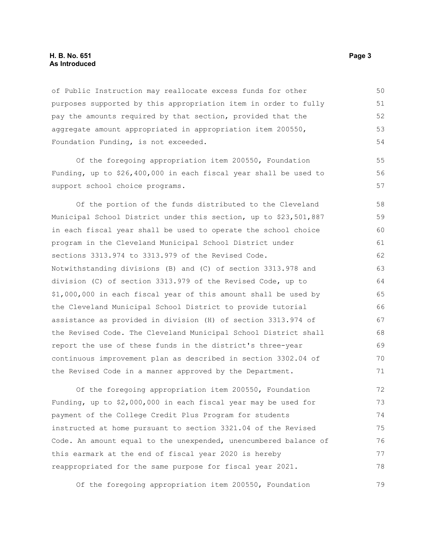#### **H. B. No. 651 Page 3 As Introduced**

of Public Instruction may reallocate excess funds for other purposes supported by this appropriation item in order to fully pay the amounts required by that section, provided that the aggregate amount appropriated in appropriation item 200550, Foundation Funding, is not exceeded.

Of the foregoing appropriation item 200550, Foundation Funding, up to \$26,400,000 in each fiscal year shall be used to support school choice programs.

Of the portion of the funds distributed to the Cleveland Municipal School District under this section, up to \$23,501,887 in each fiscal year shall be used to operate the school choice program in the Cleveland Municipal School District under sections 3313.974 to 3313.979 of the Revised Code. Notwithstanding divisions (B) and (C) of section 3313.978 and division (C) of section 3313.979 of the Revised Code, up to \$1,000,000 in each fiscal year of this amount shall be used by the Cleveland Municipal School District to provide tutorial assistance as provided in division (H) of section 3313.974 of the Revised Code. The Cleveland Municipal School District shall report the use of these funds in the district's three-year continuous improvement plan as described in section 3302.04 of the Revised Code in a manner approved by the Department. 58 59 60 61 62 63 64 65 66 67 68 69 70 71

Of the foregoing appropriation item 200550, Foundation Funding, up to \$2,000,000 in each fiscal year may be used for payment of the College Credit Plus Program for students instructed at home pursuant to section 3321.04 of the Revised Code. An amount equal to the unexpended, unencumbered balance of this earmark at the end of fiscal year 2020 is hereby reappropriated for the same purpose for fiscal year 2021. 72 73 74 75 76 77 78

Of the foregoing appropriation item 200550, Foundation 79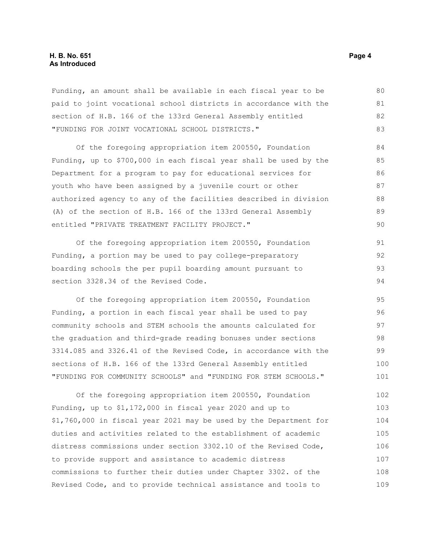#### **H. B. No. 651 Page 4 As Introduced**

Funding, an amount shall be available in each fiscal year to be paid to joint vocational school districts in accordance with the section of H.B. 166 of the 133rd General Assembly entitled "FUNDING FOR JOINT VOCATIONAL SCHOOL DISTRICTS." 80 81 82 83

Of the foregoing appropriation item 200550, Foundation Funding, up to \$700,000 in each fiscal year shall be used by the Department for a program to pay for educational services for youth who have been assigned by a juvenile court or other authorized agency to any of the facilities described in division (A) of the section of H.B. 166 of the 133rd General Assembly entitled "PRIVATE TREATMENT FACILITY PROJECT."

Of the foregoing appropriation item 200550, Foundation Funding, a portion may be used to pay college-preparatory boarding schools the per pupil boarding amount pursuant to section 3328.34 of the Revised Code. 91 92 93 94

Of the foregoing appropriation item 200550, Foundation Funding, a portion in each fiscal year shall be used to pay community schools and STEM schools the amounts calculated for the graduation and third-grade reading bonuses under sections 3314.085 and 3326.41 of the Revised Code, in accordance with the sections of H.B. 166 of the 133rd General Assembly entitled "FUNDING FOR COMMUNITY SCHOOLS" and "FUNDING FOR STEM SCHOOLS." 95 96 97 98 99 100 101

Of the foregoing appropriation item 200550, Foundation Funding, up to \$1,172,000 in fiscal year 2020 and up to \$1,760,000 in fiscal year 2021 may be used by the Department for duties and activities related to the establishment of academic distress commissions under section 3302.10 of the Revised Code, to provide support and assistance to academic distress commissions to further their duties under Chapter 3302. of the Revised Code, and to provide technical assistance and tools to 102 103 104 105 106 107 108 109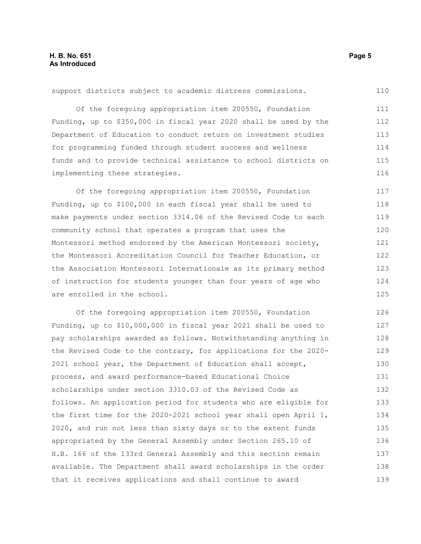support districts subject to academic distress commissions.

Of the foregoing appropriation item 200550, Foundation Funding, up to \$350,000 in fiscal year 2020 shall be used by the Department of Education to conduct return on investment studies for programming funded through student success and wellness funds and to provide technical assistance to school districts on implementing these strategies. 111 112 113 114 115 116

Of the foregoing appropriation item 200550, Foundation Funding, up to \$100,000 in each fiscal year shall be used to make payments under section 3314.06 of the Revised Code to each community school that operates a program that uses the Montessori method endorsed by the American Montessori society, the Montessori Accreditation Council for Teacher Education, or the Association Montessori Internationale as its primary method of instruction for students younger than four years of age who are enrolled in the school. 117 118 119 120 121 122 123 124 125

Of the foregoing appropriation item 200550, Foundation Funding, up to \$10,000,000 in fiscal year 2021 shall be used to pay scholarships awarded as follows. Notwithstanding anything in the Revised Code to the contrary, for applications for the 2020- 2021 school year, the Department of Education shall accept, process, and award performance-based Educational Choice scholarships under section 3310.03 of the Revised Code as follows. An application period for students who are eligible for the first time for the 2020-2021 school year shall open April 1, 2020, and run not less than sixty days or to the extent funds appropriated by the General Assembly under Section 265.10 of H.B. 166 of the 133rd General Assembly and this section remain available. The Department shall award scholarships in the order that it receives applications and shall continue to award 126 127 128 129 130 131 132 133 134 135 136 137 138 139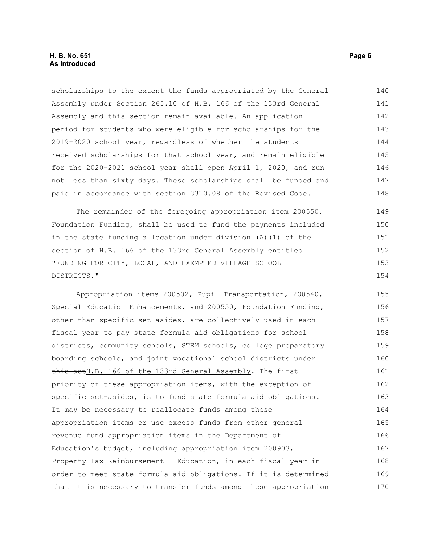#### **H. B. No. 651 Page 6 As Introduced**

scholarships to the extent the funds appropriated by the General Assembly under Section 265.10 of H.B. 166 of the 133rd General Assembly and this section remain available. An application period for students who were eligible for scholarships for the 2019-2020 school year, regardless of whether the students received scholarships for that school year, and remain eligible for the 2020-2021 school year shall open April 1, 2020, and run not less than sixty days. These scholarships shall be funded and paid in accordance with section 3310.08 of the Revised Code. 140 141 142 143 144 145 146 147 148

The remainder of the foregoing appropriation item 200550, Foundation Funding, shall be used to fund the payments included in the state funding allocation under division (A)(1) of the section of H.B. 166 of the 133rd General Assembly entitled "FUNDING FOR CITY, LOCAL, AND EXEMPTED VILLAGE SCHOOL DISTRICTS." 149 150 151 152 153 154

Appropriation items 200502, Pupil Transportation, 200540, Special Education Enhancements, and 200550, Foundation Funding, other than specific set-asides, are collectively used in each fiscal year to pay state formula aid obligations for school districts, community schools, STEM schools, college preparatory boarding schools, and joint vocational school districts under this actH.B. 166 of the 133rd General Assembly. The first priority of these appropriation items, with the exception of specific set-asides, is to fund state formula aid obligations. It may be necessary to reallocate funds among these appropriation items or use excess funds from other general revenue fund appropriation items in the Department of Education's budget, including appropriation item 200903, Property Tax Reimbursement - Education, in each fiscal year in order to meet state formula aid obligations. If it is determined that it is necessary to transfer funds among these appropriation 155 156 157 158 159 160 161 162 163 164 165 166 167 168 169 170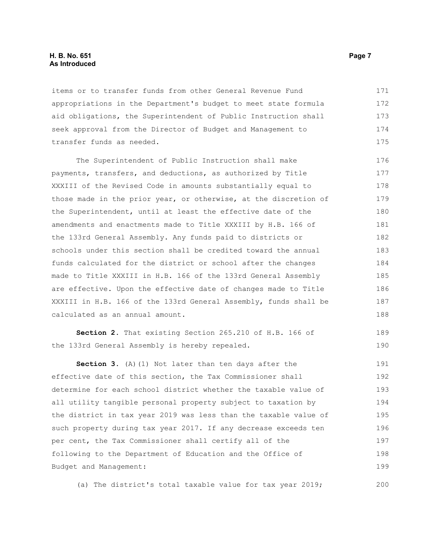#### **H. B. No. 651 Page 7 As Introduced**

items or to transfer funds from other General Revenue Fund appropriations in the Department's budget to meet state formula aid obligations, the Superintendent of Public Instruction shall seek approval from the Director of Budget and Management to transfer funds as needed. 171 172 173 174 175

The Superintendent of Public Instruction shall make payments, transfers, and deductions, as authorized by Title XXXIII of the Revised Code in amounts substantially equal to those made in the prior year, or otherwise, at the discretion of the Superintendent, until at least the effective date of the amendments and enactments made to Title XXXIII by H.B. 166 of the 133rd General Assembly. Any funds paid to districts or schools under this section shall be credited toward the annual funds calculated for the district or school after the changes made to Title XXXIII in H.B. 166 of the 133rd General Assembly are effective. Upon the effective date of changes made to Title XXXIII in H.B. 166 of the 133rd General Assembly, funds shall be calculated as an annual amount. 176 177 178 179 180 181 182 183 184 185 186 187 188

**Section 2.** That existing Section 265.210 of H.B. 166 of the 133rd General Assembly is hereby repealed.

**Section 3.** (A)(1) Not later than ten days after the effective date of this section, the Tax Commissioner shall determine for each school district whether the taxable value of all utility tangible personal property subject to taxation by the district in tax year 2019 was less than the taxable value of such property during tax year 2017. If any decrease exceeds ten per cent, the Tax Commissioner shall certify all of the following to the Department of Education and the Office of Budget and Management: 191 192 193 194 195 196 197 198 199

(a) The district's total taxable value for tax year 2019; 200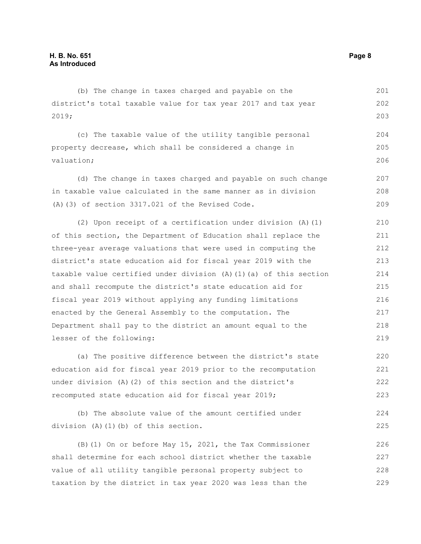(b) The change in taxes charged and payable on the district's total taxable value for tax year 2017 and tax year 2019; (c) The taxable value of the utility tangible personal 201 202 203 204

property decrease, which shall be considered a change in valuation; (d) The change in taxes charged and payable on such change 205 206 207

in taxable value calculated in the same manner as in division (A)(3) of section 3317.021 of the Revised Code. 208 209

(2) Upon receipt of a certification under division (A)(1) of this section, the Department of Education shall replace the three-year average valuations that were used in computing the district's state education aid for fiscal year 2019 with the taxable value certified under division (A)(1)(a) of this section and shall recompute the district's state education aid for fiscal year 2019 without applying any funding limitations enacted by the General Assembly to the computation. The Department shall pay to the district an amount equal to the lesser of the following: 210 211 212 213 214 215 216 217 218 219

(a) The positive difference between the district's state education aid for fiscal year 2019 prior to the recomputation under division (A)(2) of this section and the district's recomputed state education aid for fiscal year 2019; 220 221 222 223

(b) The absolute value of the amount certified under division (A)(1)(b) of this section. 224 225

(B)(1) On or before May 15, 2021, the Tax Commissioner shall determine for each school district whether the taxable value of all utility tangible personal property subject to taxation by the district in tax year 2020 was less than the 226 227 228 229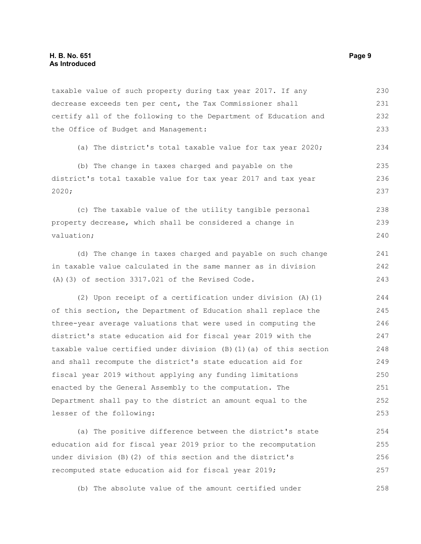#### **H. B. No. 651 Page 9 As Introduced**

taxable value of such property during tax year 2017. If any decrease exceeds ten per cent, the Tax Commissioner shall certify all of the following to the Department of Education and the Office of Budget and Management: 230 231 232 233

(a) The district's total taxable value for tax year 2020; 234

(b) The change in taxes charged and payable on the district's total taxable value for tax year 2017 and tax year 2020; 235 236 237

(c) The taxable value of the utility tangible personal property decrease, which shall be considered a change in valuation; 238 239 240

(d) The change in taxes charged and payable on such change in taxable value calculated in the same manner as in division (A)(3) of section 3317.021 of the Revised Code.

(2) Upon receipt of a certification under division (A)(1) of this section, the Department of Education shall replace the three-year average valuations that were used in computing the district's state education aid for fiscal year 2019 with the taxable value certified under division (B)(1)(a) of this section and shall recompute the district's state education aid for fiscal year 2019 without applying any funding limitations enacted by the General Assembly to the computation. The Department shall pay to the district an amount equal to the lesser of the following: 244 245 246 247 248 249 250 251 252 253

(a) The positive difference between the district's state education aid for fiscal year 2019 prior to the recomputation under division (B)(2) of this section and the district's recomputed state education aid for fiscal year 2019; 254 255 256 257

(b) The absolute value of the amount certified under 258